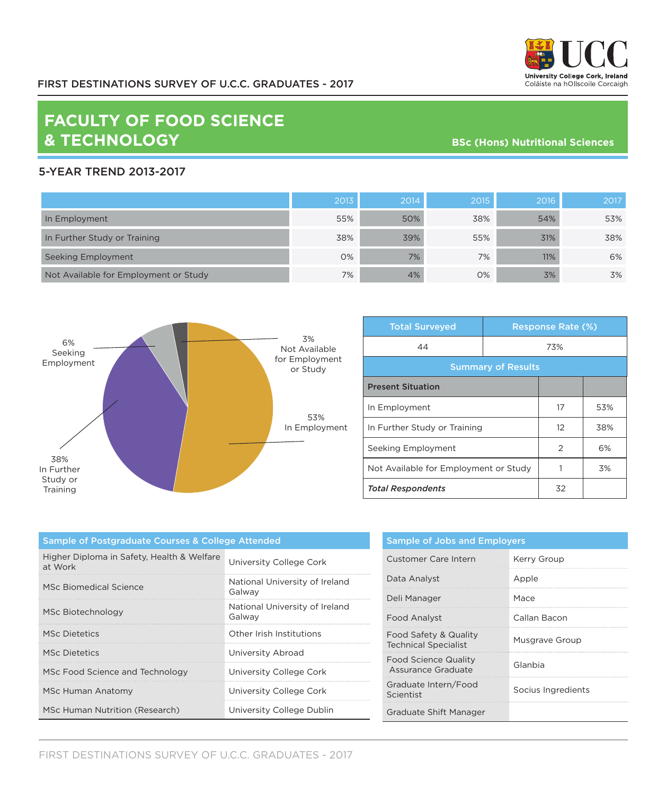

## **FACULTY OF FOOD SCIENCE & TECHNOLOGY**

**BSc (Hons) Nutritional Sciences**

## 5-YEAR TREND 2013-2017

|                                       | 2013 | 2014 | 2015 | 2016 | 2017 |
|---------------------------------------|------|------|------|------|------|
| In Employment                         | 55%  | 50%  | 38%  | 54%  | 53%  |
| In Further Study or Training          | 38%  | 39%  | 55%  | 31%  | 38%  |
| Seeking Employment                    | 0%   | 7%   | 7%   | 11%  | 6%   |
| Not Available for Employment or Study | 7%   | 4%   | 0%   | 3%   | 3%   |



| <b>Total Surveyed</b>                 |  | <b>Response Rate (%)</b> |     |  |
|---------------------------------------|--|--------------------------|-----|--|
| 44                                    |  | 73%                      |     |  |
| <b>Summary of Results</b>             |  |                          |     |  |
| <b>Present Situation</b>              |  |                          |     |  |
| In Employment                         |  | 17                       | 53% |  |
| In Further Study or Training          |  | 12                       | 38% |  |
| Seeking Employment                    |  | 2                        | 6%  |  |
| Not Available for Employment or Study |  |                          | 3%  |  |
| <b>Total Respondents</b>              |  | 32                       |     |  |

| <b>Sample of Postgraduate Courses &amp; College Attended</b> |                                          |  |
|--------------------------------------------------------------|------------------------------------------|--|
| Higher Diploma in Safety, Health & Welfare<br>at Work        | University College Cork                  |  |
| MSc Biomedical Science                                       | National University of Ireland<br>Galway |  |
| MSc Biotechnology                                            | National University of Ireland<br>Galway |  |
| <b>MSc Dietetics</b>                                         | Other Irish Institutions                 |  |
| <b>MSc Dietetics</b>                                         | University Abroad                        |  |
| MSc Food Science and Technology                              | University College Cork                  |  |
| MSc Human Anatomy                                            | University College Cork                  |  |
| MSc Human Nutrition (Research)                               | University College Dublin                |  |

| <b>Sample of Jobs and Employers</b>                  |                    |  |
|------------------------------------------------------|--------------------|--|
| <b>Customer Care Intern</b>                          | Kerry Group        |  |
| Data Analyst                                         | Apple              |  |
| Deli Manager                                         | Mace               |  |
| Food Analyst                                         | Callan Bacon       |  |
| Food Safety & Quality<br><b>Technical Specialist</b> | Musgrave Group     |  |
| <b>Food Science Quality</b><br>Assurance Graduate    | Glanbia            |  |
| Graduate Intern/Food<br>Scientist                    | Socius Ingredients |  |
| Graduate Shift Manager                               |                    |  |